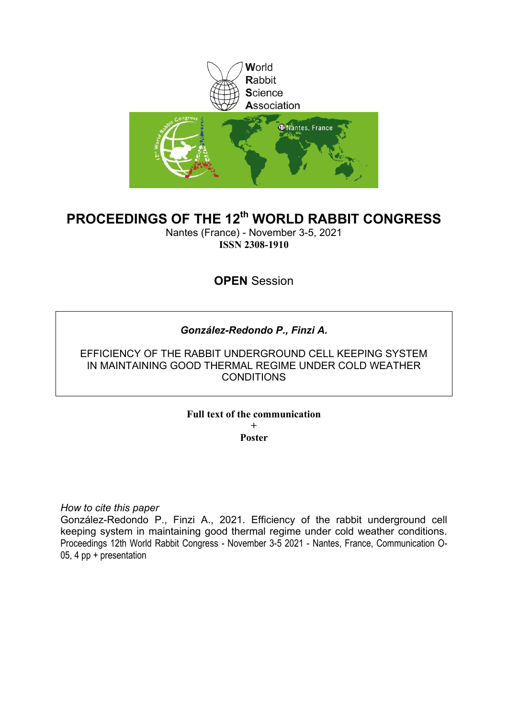

# **PROCEEDINGS OF THE 12th WORLD RABBIT CONGRESS**

Nantes (France) - November 3-5, 2021 **ISSN 2308-1910**

**OPEN** Session

# *González-Redondo P., Finzi A.*

EFFICIENCY OF THE RABBIT UNDERGROUND CELL KEEPING SYSTEM IN MAINTAINING GOOD THERMAL REGIME UNDER COLD WEATHER **CONDITIONS** 

**Full text of the communication** 

**+ Poster**

*How to cite this paper*

González-Redondo P., Finzi A., 2021. Efficiency of the rabbit underground cell keeping system in maintaining good thermal regime under cold weather conditions. Proceedings 12th World Rabbit Congress - November 3-5 2021 - Nantes, France, Communication O-05, 4 pp + presentation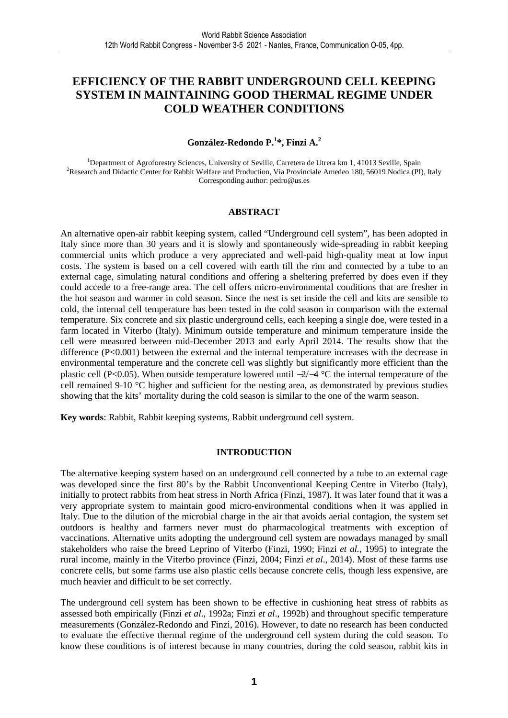# **EFFICIENCY OF THE RABBIT UNDERGROUND CELL KEEPING SYSTEM IN MAINTAINING GOOD THERMAL REGIME UNDER COLD WEATHER CONDITIONS**

## **González-Redondo P.<sup>1</sup> \*, Finzi A.<sup>2</sup>**

<sup>1</sup>Department of Agroforestry Sciences, University of Seville, Carretera de Utrera km 1, 41013 Seville, Spain <sup>2</sup>Research and Didactic Center for Rabbit Welfare and Production, Via Provinciale Amedeo 180, 56019 Nodica (PI), Italy Corresponding author: pedro@us.es

#### **ABSTRACT**

An alternative open-air rabbit keeping system, called "Underground cell system", has been adopted in Italy since more than 30 years and it is slowly and spontaneously wide-spreading in rabbit keeping commercial units which produce a very appreciated and well-paid high-quality meat at low input costs. The system is based on a cell covered with earth till the rim and connected by a tube to an external cage, simulating natural conditions and offering a sheltering preferred by does even if they could accede to a free-range area. The cell offers micro-environmental conditions that are fresher in the hot season and warmer in cold season. Since the nest is set inside the cell and kits are sensible to cold, the internal cell temperature has been tested in the cold season in comparison with the external temperature. Six concrete and six plastic underground cells, each keeping a single doe, were tested in a farm located in Viterbo (Italy). Minimum outside temperature and minimum temperature inside the cell were measured between mid-December 2013 and early April 2014. The results show that the difference  $(P<0.001)$  between the external and the internal temperature increases with the decrease in environmental temperature and the concrete cell was slightly but significantly more efficient than the plastic cell (P<0.05). When outside temperature lowered until −2/−4 °C the internal temperature of the cell remained 9-10 °C higher and sufficient for the nesting area, as demonstrated by previous studies showing that the kits' mortality during the cold season is similar to the one of the warm season.

**Key words**: Rabbit, Rabbit keeping systems, Rabbit underground cell system.

### **INTRODUCTION**

The alternative keeping system based on an underground cell connected by a tube to an external cage was developed since the first 80's by the Rabbit Unconventional Keeping Centre in Viterbo (Italy), initially to protect rabbits from heat stress in North Africa (Finzi, 1987). It was later found that it was a very appropriate system to maintain good micro-environmental conditions when it was applied in Italy. Due to the dilution of the microbial charge in the air that avoids aerial contagion, the system set outdoors is healthy and farmers never must do pharmacological treatments with exception of vaccinations. Alternative units adopting the underground cell system are nowadays managed by small stakeholders who raise the breed Leprino of Viterbo (Finzi, 1990; Finzi *et al.,* 1995) to integrate the rural income, mainly in the Viterbo province (Finzi, 2004; Finzi *et al*., 2014). Most of these farms use concrete cells, but some farms use also plastic cells because concrete cells, though less expensive, are much heavier and difficult to be set correctly.

The underground cell system has been shown to be effective in cushioning heat stress of rabbits as assessed both empirically (Finzi *et al*., 1992a; Finzi *et al*., 1992b) and throughout specific temperature measurements (González-Redondo and Finzi, 2016). However, to date no research has been conducted to evaluate the effective thermal regime of the underground cell system during the cold season. To know these conditions is of interest because in many countries, during the cold season, rabbit kits in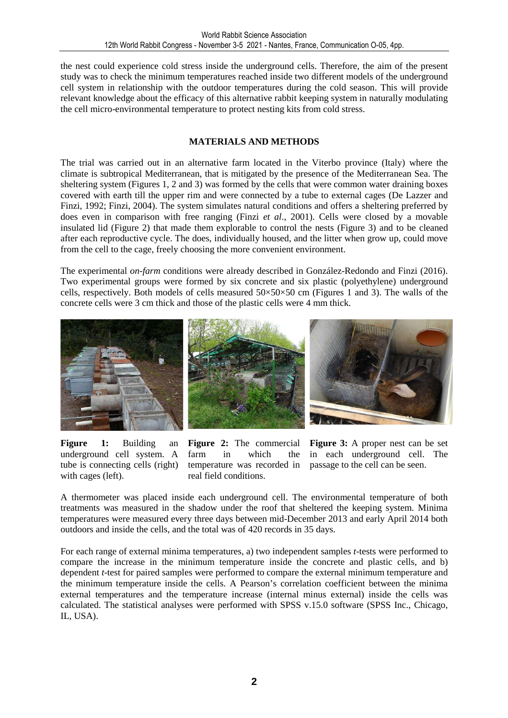the nest could experience cold stress inside the underground cells. Therefore, the aim of the present study was to check the minimum temperatures reached inside two different models of the underground cell system in relationship with the outdoor temperatures during the cold season. This will provide relevant knowledge about the efficacy of this alternative rabbit keeping system in naturally modulating the cell micro-environmental temperature to protect nesting kits from cold stress.

## **MATERIALS AND METHODS**

The trial was carried out in an alternative farm located in the Viterbo province (Italy) where the climate is subtropical Mediterranean, that is mitigated by the presence of the Mediterranean Sea. The sheltering system (Figures 1, 2 and 3) was formed by the cells that were common water draining boxes covered with earth till the upper rim and were connected by a tube to external cages (De Lazzer and Finzi, 1992; Finzi, 2004). The system simulates natural conditions and offers a sheltering preferred by does even in comparison with free ranging (Finzi *et al*., 2001). Cells were closed by a movable insulated lid (Figure 2) that made them explorable to control the nests (Figure 3) and to be cleaned after each reproductive cycle. The does, individually housed, and the litter when grow up, could move from the cell to the cage, freely choosing the more convenient environment.

The experimental *on-farm* conditions were already described in González-Redondo and Finzi (2016). Two experimental groups were formed by six concrete and six plastic (polyethylene) underground cells, respectively. Both models of cells measured  $50 \times 50 \times 50$  cm (Figures 1 and 3). The walls of the concrete cells were 3 cm thick and those of the plastic cells were 4 mm thick.



**Figure 1:** Building an underground cell system. A tube is connecting cells (right) with cages (left).

**Figure 2:** The commercial farm in which the temperature was recorded in real field conditions.

**Figure 3:** A proper nest can be set in each underground cell. The passage to the cell can be seen.

A thermometer was placed inside each underground cell. The environmental temperature of both treatments was measured in the shadow under the roof that sheltered the keeping system. Minima temperatures were measured every three days between mid-December 2013 and early April 2014 both outdoors and inside the cells, and the total was of 420 records in 35 days.

For each range of external minima temperatures, a) two independent samples *t*-tests were performed to compare the increase in the minimum temperature inside the concrete and plastic cells, and b) dependent *t*-test for paired samples were performed to compare the external minimum temperature and the minimum temperature inside the cells. A Pearson's correlation coefficient between the minima external temperatures and the temperature increase (internal minus external) inside the cells was calculated. The statistical analyses were performed with SPSS v.15.0 software (SPSS Inc., Chicago, IL, USA).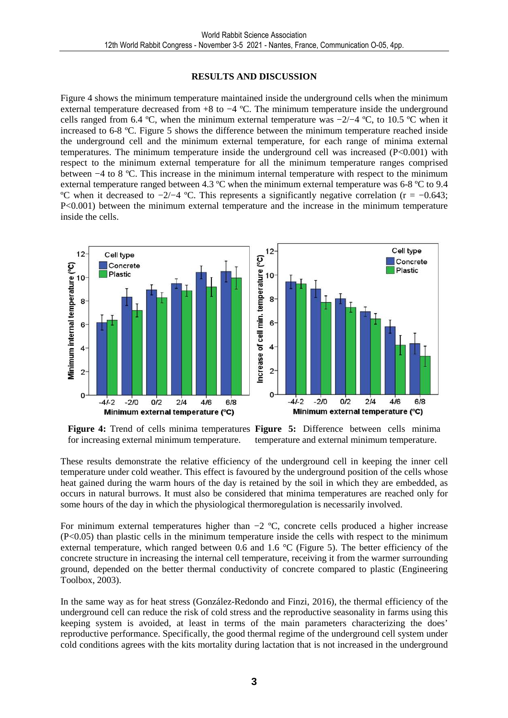### **RESULTS AND DISCUSSION**

Figure 4 shows the minimum temperature maintained inside the underground cells when the minimum external temperature decreased from +8 to −4 ºC. The minimum temperature inside the underground cells ranged from 6.4 ºC, when the minimum external temperature was −2/−4 ºC, to 10.5 ºC when it increased to 6-8 ºC. Figure 5 shows the difference between the minimum temperature reached inside the underground cell and the minimum external temperature, for each range of minima external temperatures. The minimum temperature inside the underground cell was increased (P<0.001) with respect to the minimum external temperature for all the minimum temperature ranges comprised between −4 to 8 ºC. This increase in the minimum internal temperature with respect to the minimum external temperature ranged between 4.3 ºC when the minimum external temperature was 6-8 ºC to 9.4 °C when it decreased to  $-2/-4$  °C. This represents a significantly negative correlation (r =  $-0.643$ ; P<0.001) between the minimum external temperature and the increase in the minimum temperature inside the cells.



for increasing external minimum temperature.

**Figure 4:** Trend of cells minima temperatures **Figure 5:** Difference between cells minima temperature and external minimum temperature.

These results demonstrate the relative efficiency of the underground cell in keeping the inner cell temperature under cold weather. This effect is favoured by the underground position of the cells whose heat gained during the warm hours of the day is retained by the soil in which they are embedded, as occurs in natural burrows. It must also be considered that minima temperatures are reached only for some hours of the day in which the physiological thermoregulation is necessarily involved.

For minimum external temperatures higher than −2 ºC, concrete cells produced a higher increase (P<0.05) than plastic cells in the minimum temperature inside the cells with respect to the minimum external temperature, which ranged between 0.6 and 1.6  $\degree$ C (Figure 5). The better efficiency of the concrete structure in increasing the internal cell temperature, receiving it from the warmer surrounding ground, depended on the better thermal conductivity of concrete compared to plastic (Engineering Toolbox, 2003).

In the same way as for heat stress (González-Redondo and Finzi, 2016), the thermal efficiency of the underground cell can reduce the risk of cold stress and the reproductive seasonality in farms using this keeping system is avoided, at least in terms of the main parameters characterizing the does' reproductive performance. Specifically, the good thermal regime of the underground cell system under cold conditions agrees with the kits mortality during lactation that is not increased in the underground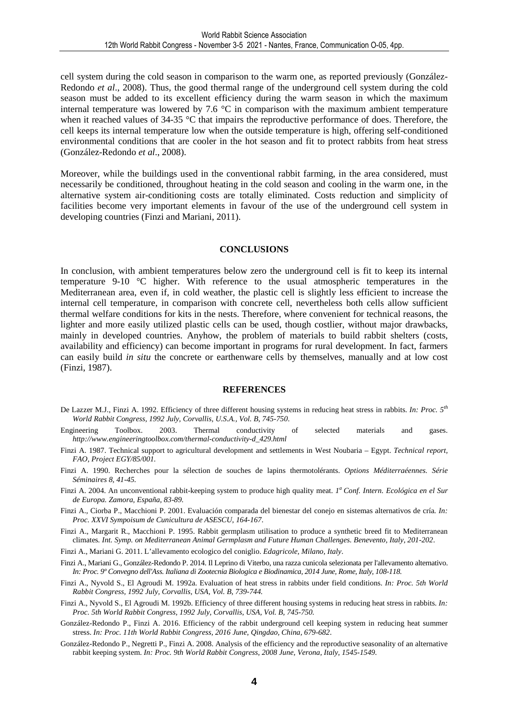cell system during the cold season in comparison to the warm one, as reported previously (González-Redondo *et al*., 2008). Thus, the good thermal range of the underground cell system during the cold season must be added to its excellent efficiency during the warm season in which the maximum internal temperature was lowered by 7.6 °C in comparison with the maximum ambient temperature when it reached values of 34-35 °C that impairs the reproductive performance of does. Therefore, the cell keeps its internal temperature low when the outside temperature is high, offering self-conditioned environmental conditions that are cooler in the hot season and fit to protect rabbits from heat stress (González-Redondo *et al*., 2008).

Moreover, while the buildings used in the conventional rabbit farming, in the area considered, must necessarily be conditioned, throughout heating in the cold season and cooling in the warm one, in the alternative system air-conditioning costs are totally eliminated. Costs reduction and simplicity of facilities become very important elements in favour of the use of the underground cell system in developing countries (Finzi and Mariani, 2011).

#### **CONCLUSIONS**

In conclusion, with ambient temperatures below zero the underground cell is fit to keep its internal temperature 9-10 °C higher. With reference to the usual atmospheric temperatures in the Mediterranean area, even if, in cold weather, the plastic cell is slightly less efficient to increase the internal cell temperature, in comparison with concrete cell, nevertheless both cells allow sufficient thermal welfare conditions for kits in the nests. Therefore, where convenient for technical reasons, the lighter and more easily utilized plastic cells can be used, though costlier, without major drawbacks, mainly in developed countries. Anyhow, the problem of materials to build rabbit shelters (costs, availability and efficiency) can become important in programs for rural development. In fact, farmers can easily build *in situ* the concrete or earthenware cells by themselves, manually and at low cost (Finzi, 1987).

#### **REFERENCES**

- De Lazzer M.J., Finzi A. 1992. Efficiency of three different housing systems in reducing heat stress in rabbits. *In: Proc. 5th World Rabbit Congress, 1992 July, Corvallis, U.S.A., Vol. B, 745-750*.
- Engineering Toolbox. 2003. Thermal conductivity of selected materials and gases. *http://www.engineeringtoolbox.com/thermal-conductivity-d\_429.html*
- Finzi A. 1987. Technical support to agricultural development and settlements in West Noubaria Egypt. *Technical report, FAO, Project EGY/85/001.*
- Finzi A. 1990. Recherches pour la sélection de souches de lapins thermotolérants. *Options Méditerraéennes. Série Séminaires 8, 41-45.*
- Finzi A. 2004. An unconventional rabbit-keeping system to produce high quality meat. *I<sup>a</sup>* Conf. Intern. Ecológica en el Sur *de Europa. Zamora, España, 83-89.*
- Finzi A., Ciorba P., Macchioni P. 2001. Evaluación comparada del bienestar del conejo en sistemas alternativos de cría*. In: Proc. XXVI Sympoisum de Cunicultura de ASESCU, 164-167*.
- Finzi A., Margarit R., Macchioni P. 1995. Rabbit germplasm utilisation to produce a synthetic breed fit to Mediterranean climates*. Int. Symp. on Mediterranean Animal Germplasm and Future Human Challenges. Benevento, Italy, 201-202*.
- Finzi A., Mariani G. 2011. L'allevamento ecologico del coniglio. *Edagricole, Milano, Italy*.
- Finzi A., Mariani G., González-Redondo P. 2014. Il Leprino di Viterbo, una razza cunicola selezionata per l'allevamento alternativo. *In: Proc. 9º Convegno dell'Ass. Italiana di Zootecnia Biologica e Biodinamica, 2014 June, Rome, Italy, 108-118.*
- Finzi A., Nyvold S., El Agroudi M. 1992a. Evaluation of heat stress in rabbits under field conditions. *In: Proc. 5th World Rabbit Congress, 1992 July, Corvallis, USA, Vol. B, 739-744.*
- Finzi A., Nyvold S., El Agroudi M. 1992b. Efficiency of three different housing systems in reducing heat stress in rabbits. *In: Proc. 5th World Rabbit Congress, 1992 July, Corvallis, USA, Vol. B, 745-750.*
- González-Redondo P., Finzi A. 2016. Efficiency of the rabbit underground cell keeping system in reducing heat summer stress. *In: Proc. 11th World Rabbit Congress, 2016 June, Qingdao, China, 679-682*.
- González-Redondo P., Negretti P., Finzi A. 2008. Analysis of the efficiency and the reproductive seasonality of an alternative rabbit keeping system. *In: Proc. 9th World Rabbit Congress, 2008 June, Verona, Italy, 1545-1549.*